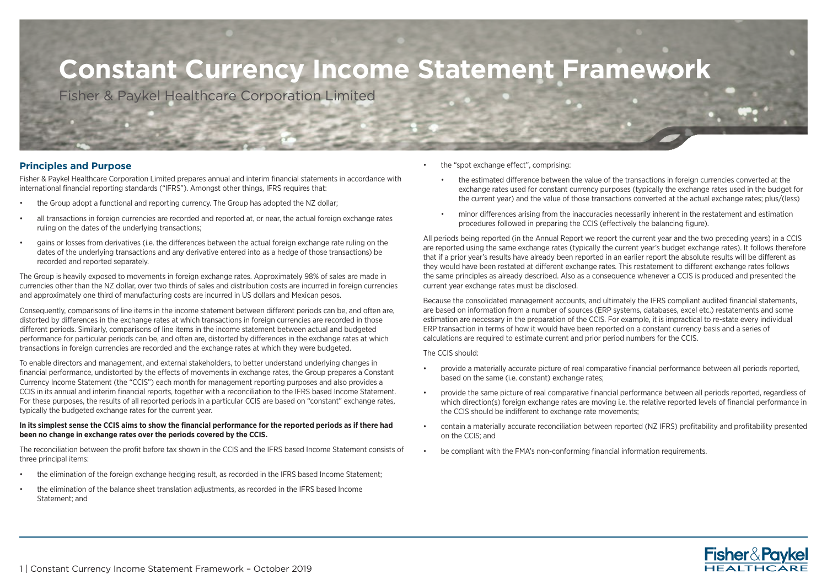## **Constant Currency Income Statement Framework**

Fisher & Paykel Healthcare Corporation Limited

## **Principles and Purpose**

Fisher & Paykel Healthcare Corporation Limited prepares annual and interim financial statements in accordance with international financial reporting standards ("IFRS"). Amongst other things, IFRS requires that:

- the Group adopt a functional and reporting currency. The Group has adopted the NZ dollar;
- all transactions in foreign currencies are recorded and reported at, or near, the actual foreign exchange rates ruling on the dates of the underlying transactions;
- gains or losses from derivatives (i.e. the differences between the actual foreign exchange rate ruling on the dates of the underlying transactions and any derivative entered into as a hedge of those transactions) be recorded and reported separately.

The Group is heavily exposed to movements in foreign exchange rates. Approximately 98% of sales are made in currencies other than the NZ dollar, over two thirds of sales and distribution costs are incurred in foreign currencies and approximately one third of manufacturing costs are incurred in US dollars and Mexican pesos.

Consequently, comparisons of line items in the income statement between different periods can be, and often are, distorted by differences in the exchange rates at which transactions in foreign currencies are recorded in those different periods. Similarly, comparisons of line items in the income statement between actual and budgeted performance for particular periods can be, and often are, distorted by differences in the exchange rates at which transactions in foreign currencies are recorded and the exchange rates at which they were budgeted.

To enable directors and management, and external stakeholders, to better understand underlying changes in financial performance, undistorted by the effects of movements in exchange rates, the Group prepares a Constant Currency Income Statement (the "CCIS") each month for management reporting purposes and also provides a CCIS in its annual and interim financial reports, together with a reconciliation to the IFRS based Income Statement. For these purposes, the results of all reported periods in a particular CCIS are based on "constant" exchange rates, typically the budgeted exchange rates for the current year.

## **In its simplest sense the CCIS aims to show the financial performance for the reported periods as if there had been no change in exchange rates over the periods covered by the CCIS.**

The reconciliation between the profit before tax shown in the CCIS and the IFRS based Income Statement consists of three principal items:

- the elimination of the foreign exchange hedging result, as recorded in the IFRS based Income Statement;
- the elimination of the balance sheet translation adjustments, as recorded in the IFRS based Income Statement; and
- the "spot exchange effect", comprising:
	- the estimated difference between the value of the transactions in foreign currencies converted at the exchange rates used for constant currency purposes (typically the exchange rates used in the budget for the current year) and the value of those transactions converted at the actual exchange rates; plus/(less)
	- minor differences arising from the inaccuracies necessarily inherent in the restatement and estimation procedures followed in preparing the CCIS (effectively the balancing figure).

All periods being reported (in the Annual Report we report the current year and the two preceding years) in a CCIS are reported using the same exchange rates (typically the current year's budget exchange rates). It follows therefore that if a prior year's results have already been reported in an earlier report the absolute results will be different as they would have been restated at different exchange rates. This restatement to different exchange rates follows the same principles as already described. Also as a consequence whenever a CCIS is produced and presented the current year exchange rates must be disclosed.

Because the consolidated management accounts, and ultimately the IFRS compliant audited financial statements, are based on information from a number of sources (ERP systems, databases, excel etc.) restatements and some estimation are necessary in the preparation of the CCIS. For example, it is impractical to re-state every individual ERP transaction in terms of how it would have been reported on a constant currency basis and a series of calculations are required to estimate current and prior period numbers for the CCIS.

The CCIS should:

- provide a materially accurate picture of real comparative financial performance between all periods reported, based on the same (i.e. constant) exchange rates;
- provide the same picture of real comparative financial performance between all periods reported, regardless of which direction(s) foreign exchange rates are moving i.e. the relative reported levels of financial performance in the CCIS should be indifferent to exchange rate movements;
- contain a materially accurate reconciliation between reported (NZ IFRS) profitability and profitability presented on the CCIS; and
- be compliant with the FMA's non-conforming financial information requirements.